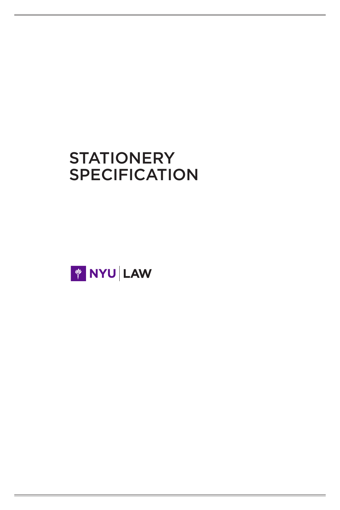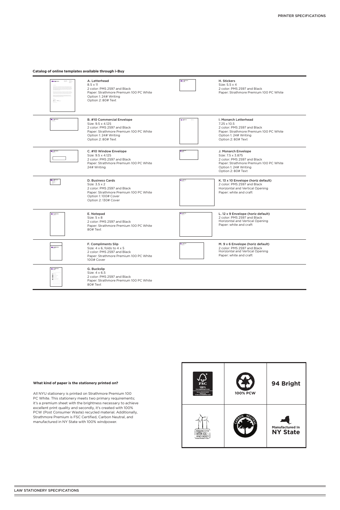### **What kind of paper is the stationery printed on?**

All NYU stationery is printed on Strathmore Premium 100 PC White. This stationery meets two primary requirements; it's a premium sheet with the brightness necessary to achieve excellent print quality and secondly, it's created with 100% PCW (Post Consumer Waste) recycled material. Additionally, Strathmore Premium is FSC Certified, Carbon Neutral, and manufactured in NY State with 100% windpower.

| <b>NYU SCHOOL</b><br>$\overline{\mathrm{m}}$ - $\overline{\mathrm{m}}$<br>$\mu_{\rm m}$                                                                                                                                                                                                                                                                                                                                                                         | A. Letterhead<br>$8.5 \times 11$<br>2 color: PMS 2597 and Black<br>Paper: Strathmore Premium 100 PC White<br>Option 1: 24# Writing<br>Option 2: 80# Text                       | NYU SCHOOL                                                            | H. Stickers<br>Size: 5.5 x 4<br>2 color: PMS 2597 and Black<br>Paper: Strathmore Premium 100 PC White                                                                      |
|-----------------------------------------------------------------------------------------------------------------------------------------------------------------------------------------------------------------------------------------------------------------------------------------------------------------------------------------------------------------------------------------------------------------------------------------------------------------|--------------------------------------------------------------------------------------------------------------------------------------------------------------------------------|-----------------------------------------------------------------------|----------------------------------------------------------------------------------------------------------------------------------------------------------------------------|
| <b>El NYU</b> SCHOOL                                                                                                                                                                                                                                                                                                                                                                                                                                            | <b>B. #10 Commercial Envelope</b><br>Size: 9.5 x 4.125<br>2 color: PMS 2597 and Black<br>Paper: Strathmore Premium 100 PC White<br>Option 1: 24# Writing<br>Option 2: 80# Text |                                                                       | <b>I. Monarch Letterhead</b><br>$7.25 \times 10.5$<br>2 color: PMS 2597 and Black<br>Paper: Strathmore Premium 100 PC White<br>Option 1: 24# Writing<br>Option 2: 80# Text |
| <b>N</b> NYU SCHOOL                                                                                                                                                                                                                                                                                                                                                                                                                                             | C. #10 Window Envelope<br>Size: 9.5 x 4.125<br>2 color: PMS 2597 and Black<br>Paper: Strathmore Premium 100 PC White<br>24# Writing                                            | Пиговское                                                             | J. Monarch Envelope<br>Size: 7.5 x 3.875<br>2 color: PMS 2597 and Black<br>Paper: Strathmore Premium 100 PC White<br>Option 1: 24# Writing<br>Option 2: 80# Text           |
| <b>El</b> MYU SCHOOL                                                                                                                                                                                                                                                                                                                                                                                                                                            | D. Business Cards<br>Size: 3.5 x 2<br>2 color: PMS 2597 and Black<br>Paper: Strathmore Premium 100 PC White<br>Option 1: 100# Cover<br>Option 2: 130# Cover                    | SKINDSCHOOL                                                           | K. 13 x 10 Envelope (horiz default)<br>2 color: PMS 2597 and Black<br>Horizontal and Vertical Opening<br>Paper: white and craft                                            |
| <b>NYU SCHOOL</b>                                                                                                                                                                                                                                                                                                                                                                                                                                               | E. Notepad<br>Size: $5 \times 8$<br>2 color: PMS 2597 and Black<br>Paper: Strathmore Premium 100 PC White<br>80# Text                                                          | $\blacksquare$ кгурсноор                                              | L. 12 x 9 Envelope (horiz default)<br>2 color: PMS 2597 and Black<br>Horizontal and Vertical Opening<br>Paper: white and craft                                             |
| NYU SCHOOL                                                                                                                                                                                                                                                                                                                                                                                                                                                      | F. Compliments Slip<br>Size: $4 \times 6$ , folds to $4 \times 5$<br>2 color: PMS 2597 and Black<br>Paper: Strathmore Premium 100 PC White<br>100# Cover                       | $\begin{array}{c}\n\hline\n\text{InvUscimot}\n\\ \hline\n\end{array}$ | M. 9 x 6 Envelope (horiz default)<br>2 color: PMS 2597 and Black<br>Horizontal and Vertical Opening<br>Paper: white and craft                                              |
| <b>NYU SCHOOL</b><br>$\begin{tabular}{ c c } \hline \multicolumn{3}{ c }{\multicolumn{3}{ c }{\multicolumn{3}{ c }{\multicolumn{3}{ c }{\multicolumn{3}{ c }{\multicolumn{3}{ c }{\multicolumn{3}{ c }{\multicolumn{3}{ c }{\multicolumn{3}{ c }{\multicolumn{3}{ c }{\multicolumn{3}{ c }{\multicolumn{3}{ c }{\multicolumn{3}{ c }{\multicolumn{3}{ c }{\multicolumn{3}{ c }{\multicolumn{3}{ c }{\multicolumn{3}{ c }{\multicolumn{3}{ c }{\multicolumn{3}{$ | G. Buckslip<br>Size: 4 x 6.5<br>2 color: PMS 2597 and Black<br>Paper: Strathmore Premium 100 PC White<br>80# Text                                                              |                                                                       |                                                                                                                                                                            |

## **Catalog of online templates available through i-Buy**

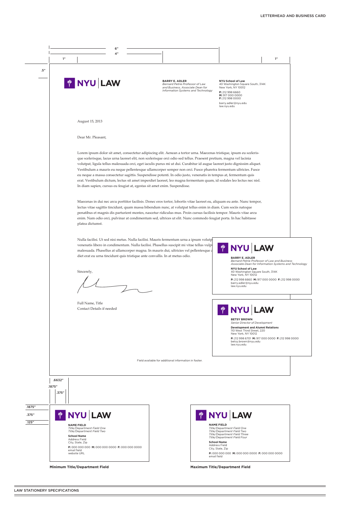

| 1"                                                                           |                                                                                                                                                                                                                                                                                                                                                                                                                                                                                                                                                                                                                                                                                                                                                                                                                                                                          | 1"                                                                                                                                                                                                                                   |
|------------------------------------------------------------------------------|--------------------------------------------------------------------------------------------------------------------------------------------------------------------------------------------------------------------------------------------------------------------------------------------------------------------------------------------------------------------------------------------------------------------------------------------------------------------------------------------------------------------------------------------------------------------------------------------------------------------------------------------------------------------------------------------------------------------------------------------------------------------------------------------------------------------------------------------------------------------------|--------------------------------------------------------------------------------------------------------------------------------------------------------------------------------------------------------------------------------------|
| <b>WINYU LAW</b>                                                             | <b>BARRY E. ADLER</b><br><b>Bernard Petrie Professor of Law</b><br>and Business, Associate Dean for<br><b>Information Systems and Technology</b>                                                                                                                                                                                                                                                                                                                                                                                                                                                                                                                                                                                                                                                                                                                         | <b>NYU School of Law</b><br>40 Washington Square South, 314K<br>New York, NY 10012<br>P: 212 998 6660<br>M: 917 000 0000<br><b>F:</b> 212 998 0000<br>barry.adler@nyu.edu<br>law.nyu.edu                                             |
| August 15, 2013                                                              |                                                                                                                                                                                                                                                                                                                                                                                                                                                                                                                                                                                                                                                                                                                                                                                                                                                                          |                                                                                                                                                                                                                                      |
| Dear Mr. Pleasant,                                                           |                                                                                                                                                                                                                                                                                                                                                                                                                                                                                                                                                                                                                                                                                                                                                                                                                                                                          |                                                                                                                                                                                                                                      |
| In diam sapien, cursus eu feugiat at, egestas sit amet enim. Suspendisse.    | Lorem ipsum dolor sit amet, consectetur adipiscing elit. Aenean a tortor urna. Maecenas tristique, ipsum eu sceleris-<br>que scelerisque, lacus urna laoreet elit, non scelerisque orci odio sed tellus. Praesent pretium, magna vel lacinia<br>volutpat, ligula tellus malesuada orci, eget iaculis purus mi ut dui. Curabitur id augue laoreet justo dignissim aliquet.<br>Vestibulum a mauris eu neque pellentesque ullamcorper semper non orci. Fusce pharetra fermentum ultricies. Fusce<br>eu neque a massa consectetur sagittis. Suspendisse potenti. In odio justo, venenatis in tempus at, fermentum quis<br>erat. Vestibulum dictum, lectus sit amet imperdiet laoreet, leo magna fermentum quam, id sodales leo lectus nec nisl.<br>Maecenas in dui nec arcu porttitor facilisis. Donec eros tortor, lobortis vitae laoreet eu, aliquam eu ante. Nunc tempor, |                                                                                                                                                                                                                                      |
| platea dictumst.                                                             | lectus vitae sagittis tincidunt, quam massa bibendum nunc, at volutpat tellus enim in diam. Cum sociis natoque<br>penatibus et magnis dis parturient montes, nascetur ridiculus mus. Proin cursus facilisis tempor. Mauris vitae arcu<br>enim. Nam odio orci, pulvinar at condimentum sed, ultrices ut elit. Nunc commodo feugiat porta. In hac habitasse                                                                                                                                                                                                                                                                                                                                                                                                                                                                                                                |                                                                                                                                                                                                                                      |
| diet erat eu urna tincidunt quis tristique ante convallis. In at metus odio. | Nulla facilisi. Ut sed nisi metus. Nulla facilisi. Mauris fermentum urna a ipsum volutp<br>venenatis libero in condimentum. Nulla facilisi. Phasellus suscipit mi vitae tellus vulpi<br>malesuada. Phasellus at ullamcorper magna. In mauris dui, ultricies vel pellentesque a                                                                                                                                                                                                                                                                                                                                                                                                                                                                                                                                                                                           | <b>NYU LAW</b><br><b>BARRY E. ADLER</b><br>Bernard Petrie Professor of Law and Business                                                                                                                                              |
| Sincerely,                                                                   |                                                                                                                                                                                                                                                                                                                                                                                                                                                                                                                                                                                                                                                                                                                                                                                                                                                                          | Associate Dean for Information Systems and Technology<br><b>NYU School of Law</b><br>40 Washington Square South, 314K<br>New York, NY 10012<br>P: 212 998 6660 M: 917 000 0000 F: 212 998 0000<br>barry.adler@nyu.edu<br>law.nyu.edu |
| Full Name, Title<br>Contact Details if needed                                |                                                                                                                                                                                                                                                                                                                                                                                                                                                                                                                                                                                                                                                                                                                                                                                                                                                                          | <b>WINYU LAW</b>                                                                                                                                                                                                                     |

Field available for additional information in footer.

**Minimum Title/Department Field Maximum Title/Department Field**

**BETSY BROWN** *Senior Director of Development*

**Development and Alumni Relations** 110 West Third Street, 220 New York, NY 10012

**P:** 212 998 6701 **M:** 917 000 0000 **F:** 212 998 0000 betsy.brown@nyu.edu law.nyu.edu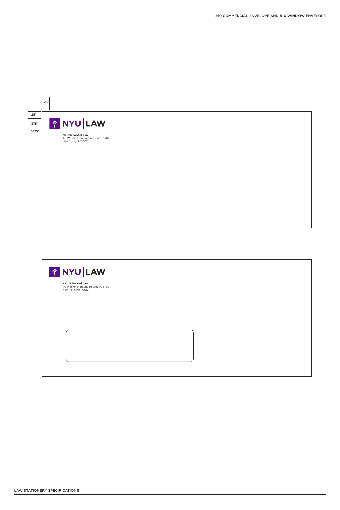



**NYU School of Law**<br>40 Washington Square South, 314K<br>New York, NY 10012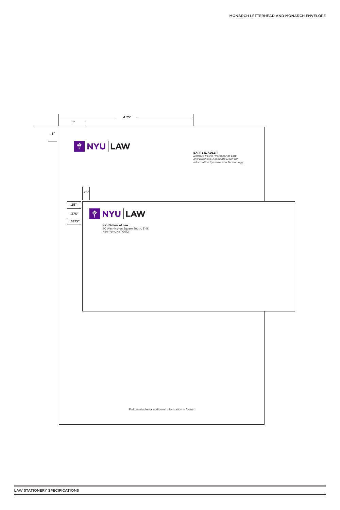

Field available for additional information in footer.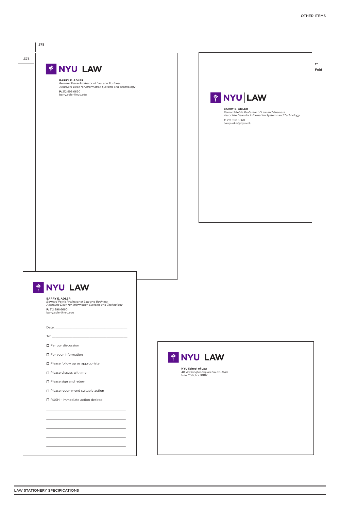# .375 **FOR A DISPONSITION**

.375

**BARRY E. ADLER**

*Bernard Petrie Professor of Law and Business Associate Dean for Information Systems and Technology* **P:** 212 998 6660 barry.adler@nyu.edu

| 1"                                                                                                                                                                       | Fold |
|--------------------------------------------------------------------------------------------------------------------------------------------------------------------------|------|
| <b>PE NYU LAW</b>                                                                                                                                                        |      |
| <b>BARRY E. ADLER</b><br>Bernard Petrie Professor of Law and Business<br>Associate Dean for Information Systems and Technology<br>P: 212 998 6660<br>barry.adler@nyu.edu |      |
|                                                                                                                                                                          |      |



\_\_\_\_\_\_\_\_\_\_\_\_\_\_\_\_\_\_\_\_\_\_\_\_\_\_\_\_\_\_\_\_\_\_\_\_\_\_\_\_\_\_

\_\_\_\_\_\_\_\_\_\_\_\_\_\_\_\_\_\_\_\_\_\_\_\_\_\_\_\_\_\_\_\_\_\_\_\_\_\_\_\_\_\_

\_\_\_\_\_\_\_\_\_\_\_\_\_\_\_\_\_\_\_\_\_\_\_\_\_\_\_\_\_\_\_\_\_\_\_\_\_\_\_\_\_\_



**NYU School of Law**<br>40 Washington Square South, 314K<br>New York, NY 10012

#### **BARRY E. ADLER**

*Bernard Petrie Professor of Law and Business Associate Dean for Information Systems and Technology* **P:** 212 998 6660 barry.adler@nyu.edu

Date:

 $To:$ 

□ Per our discussion



|  |  |  | $\Box$ For your information |
|--|--|--|-----------------------------|
|--|--|--|-----------------------------|

 $\Box$  Please follow up as appropriate

 $\square$  Please discuss with me

 $\Box$  Please sign and return

 $\Box$  Please recommend suitable action

 $\Box$  RUSH - Immediate action desired